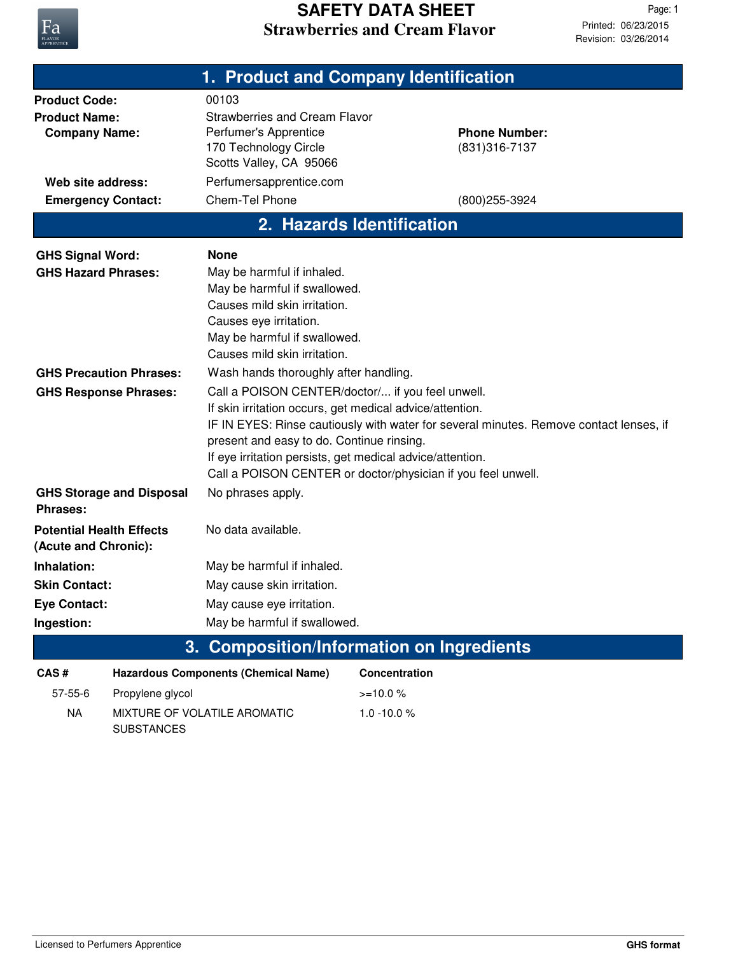

|                                                                                                                        |                           | 1. Product and Company Identification                                                                                                                                                                                                                                                                                                                                            |                      |                                                          |  |
|------------------------------------------------------------------------------------------------------------------------|---------------------------|----------------------------------------------------------------------------------------------------------------------------------------------------------------------------------------------------------------------------------------------------------------------------------------------------------------------------------------------------------------------------------|----------------------|----------------------------------------------------------|--|
| <b>Product Code:</b><br><b>Product Name:</b><br><b>Company Name:</b><br>Web site address:<br><b>Emergency Contact:</b> |                           | 00103<br><b>Strawberries and Cream Flavor</b><br>Perfumer's Apprentice<br>170 Technology Circle<br>Scotts Valley, CA 95066<br>Perfumersapprentice.com<br>Chem-Tel Phone                                                                                                                                                                                                          |                      | <b>Phone Number:</b><br>(831) 316-7137<br>(800) 255-3924 |  |
|                                                                                                                        | 2. Hazards Identification |                                                                                                                                                                                                                                                                                                                                                                                  |                      |                                                          |  |
| <b>GHS Signal Word:</b><br><b>GHS Hazard Phrases:</b>                                                                  |                           | <b>None</b><br>May be harmful if inhaled.<br>May be harmful if swallowed.<br>Causes mild skin irritation.<br>Causes eye irritation.<br>May be harmful if swallowed.<br>Causes mild skin irritation.                                                                                                                                                                              |                      |                                                          |  |
| <b>GHS Precaution Phrases:</b>                                                                                         |                           | Wash hands thoroughly after handling.                                                                                                                                                                                                                                                                                                                                            |                      |                                                          |  |
| <b>GHS Response Phrases:</b>                                                                                           |                           | Call a POISON CENTER/doctor/ if you feel unwell.<br>If skin irritation occurs, get medical advice/attention.<br>IF IN EYES: Rinse cautiously with water for several minutes. Remove contact lenses, if<br>present and easy to do. Continue rinsing.<br>If eye irritation persists, get medical advice/attention.<br>Call a POISON CENTER or doctor/physician if you feel unwell. |                      |                                                          |  |
| <b>GHS Storage and Disposal</b><br>Phrases:                                                                            |                           | No phrases apply.                                                                                                                                                                                                                                                                                                                                                                |                      |                                                          |  |
| <b>Potential Health Effects</b><br>(Acute and Chronic):                                                                |                           | No data available.                                                                                                                                                                                                                                                                                                                                                               |                      |                                                          |  |
| Inhalation:                                                                                                            |                           | May be harmful if inhaled.                                                                                                                                                                                                                                                                                                                                                       |                      |                                                          |  |
| <b>Skin Contact:</b>                                                                                                   |                           | May cause skin irritation.                                                                                                                                                                                                                                                                                                                                                       |                      |                                                          |  |
| <b>Eye Contact:</b>                                                                                                    |                           | May cause eye irritation.                                                                                                                                                                                                                                                                                                                                                        |                      |                                                          |  |
| Ingestion:                                                                                                             |                           | May be harmful if swallowed.                                                                                                                                                                                                                                                                                                                                                     |                      |                                                          |  |
|                                                                                                                        |                           | 3. Composition/Information on Ingredients                                                                                                                                                                                                                                                                                                                                        |                      |                                                          |  |
| CAS#                                                                                                                   |                           | <b>Hazardous Components (Chemical Name)</b>                                                                                                                                                                                                                                                                                                                                      | <b>Concentration</b> |                                                          |  |
| 57-55-6                                                                                                                | Propylene glycol          |                                                                                                                                                                                                                                                                                                                                                                                  | $>=10.0%$            |                                                          |  |
| <b>NA</b>                                                                                                              | <b>SUBSTANCES</b>         | MIXTURE OF VOLATILE AROMATIC                                                                                                                                                                                                                                                                                                                                                     | $1.0 - 10.0 %$       |                                                          |  |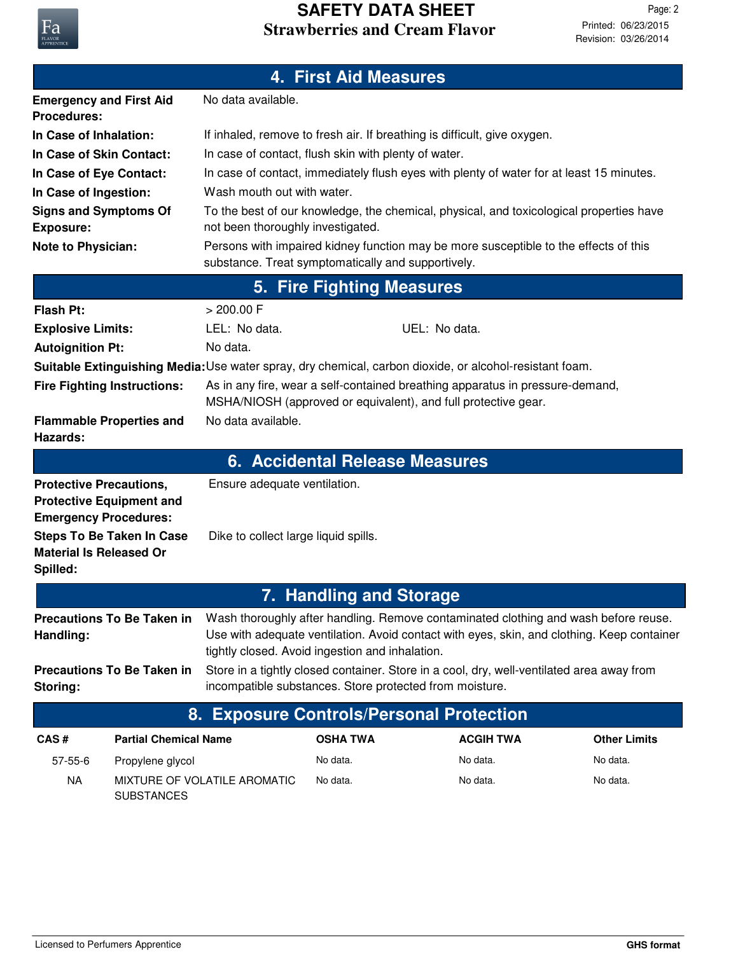

NA MIXTURE OF VOLATILE AROMATIC No data.  $\blacksquare$  No data. No data. No data.

**SUBSTANCES**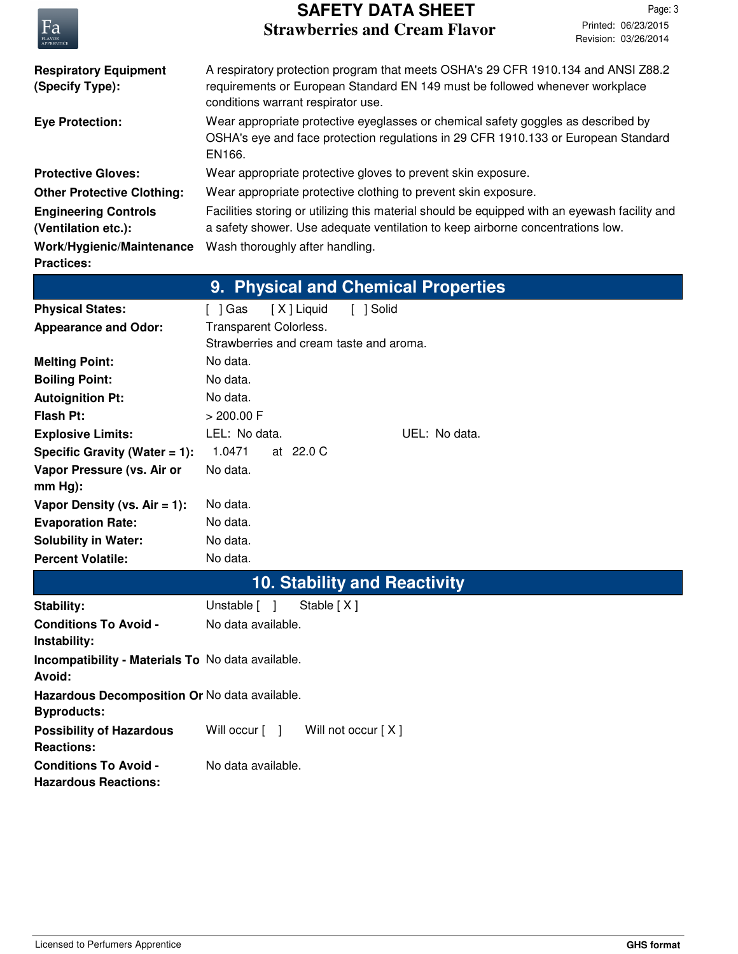

## **Strawberries and Cream Flavor SAFETY DATA SHEET**

| <b>FLAVOR</b><br>APPRENTICE                                         | Revision: 03/26/2014                                                                                                                                                                                    |  |  |
|---------------------------------------------------------------------|---------------------------------------------------------------------------------------------------------------------------------------------------------------------------------------------------------|--|--|
| <b>Respiratory Equipment</b><br>(Specify Type):                     | A respiratory protection program that meets OSHA's 29 CFR 1910.134 and ANSI Z88.2<br>requirements or European Standard EN 149 must be followed whenever workplace<br>conditions warrant respirator use. |  |  |
| <b>Eye Protection:</b>                                              | Wear appropriate protective eyeglasses or chemical safety goggles as described by<br>OSHA's eye and face protection regulations in 29 CFR 1910.133 or European Standard<br>EN166.                       |  |  |
| <b>Protective Gloves:</b>                                           | Wear appropriate protective gloves to prevent skin exposure.                                                                                                                                            |  |  |
| <b>Other Protective Clothing:</b>                                   | Wear appropriate protective clothing to prevent skin exposure.                                                                                                                                          |  |  |
| <b>Engineering Controls</b><br>(Ventilation etc.):                  | Facilities storing or utilizing this material should be equipped with an eyewash facility and<br>a safety shower. Use adequate ventilation to keep airborne concentrations low.                         |  |  |
| Work/Hygienic/Maintenance<br><b>Practices:</b>                      | Wash thoroughly after handling.                                                                                                                                                                         |  |  |
|                                                                     | 9. Physical and Chemical Properties                                                                                                                                                                     |  |  |
| <b>Physical States:</b>                                             | [X] Liquid<br>[ ] Solid<br>[ ] Gas                                                                                                                                                                      |  |  |
| <b>Appearance and Odor:</b>                                         | Transparent Colorless.<br>Strawberries and cream taste and aroma.                                                                                                                                       |  |  |
| <b>Melting Point:</b>                                               | No data.                                                                                                                                                                                                |  |  |
| <b>Boiling Point:</b>                                               | No data.                                                                                                                                                                                                |  |  |
| <b>Autoignition Pt:</b>                                             | No data.                                                                                                                                                                                                |  |  |
| <b>Flash Pt:</b>                                                    | $> 200.00$ F                                                                                                                                                                                            |  |  |
| <b>Explosive Limits:</b>                                            | LEL: No data.<br>UEL: No data.                                                                                                                                                                          |  |  |
| Specific Gravity (Water $= 1$ ):                                    | 1.0471<br>at 22.0 C                                                                                                                                                                                     |  |  |
| Vapor Pressure (vs. Air or<br>$mm Hg$ :                             | No data.                                                                                                                                                                                                |  |  |
| Vapor Density (vs. $Air = 1$ ):                                     | No data.                                                                                                                                                                                                |  |  |
| <b>Evaporation Rate:</b>                                            | No data.                                                                                                                                                                                                |  |  |
| <b>Solubility in Water:</b>                                         | No data.                                                                                                                                                                                                |  |  |
| <b>Percent Volatile:</b>                                            | No data.                                                                                                                                                                                                |  |  |
|                                                                     | <b>10. Stability and Reactivity</b>                                                                                                                                                                     |  |  |
| Stability:                                                          | Stable [X]<br>Unstable [ ]                                                                                                                                                                              |  |  |
| <b>Conditions To Avoid -</b><br>Instability:                        | No data available.                                                                                                                                                                                      |  |  |
| Incompatibility - Materials To No data available.<br>Avoid:         |                                                                                                                                                                                                         |  |  |
| Hazardous Decomposition Or No data available.<br><b>Byproducts:</b> |                                                                                                                                                                                                         |  |  |
| <b>Possibility of Hazardous</b><br><b>Reactions:</b>                | Will occur [ ]<br>Will not occur [X]                                                                                                                                                                    |  |  |
| <b>Conditions To Avoid -</b><br><b>Hazardous Reactions:</b>         | No data available.                                                                                                                                                                                      |  |  |
|                                                                     |                                                                                                                                                                                                         |  |  |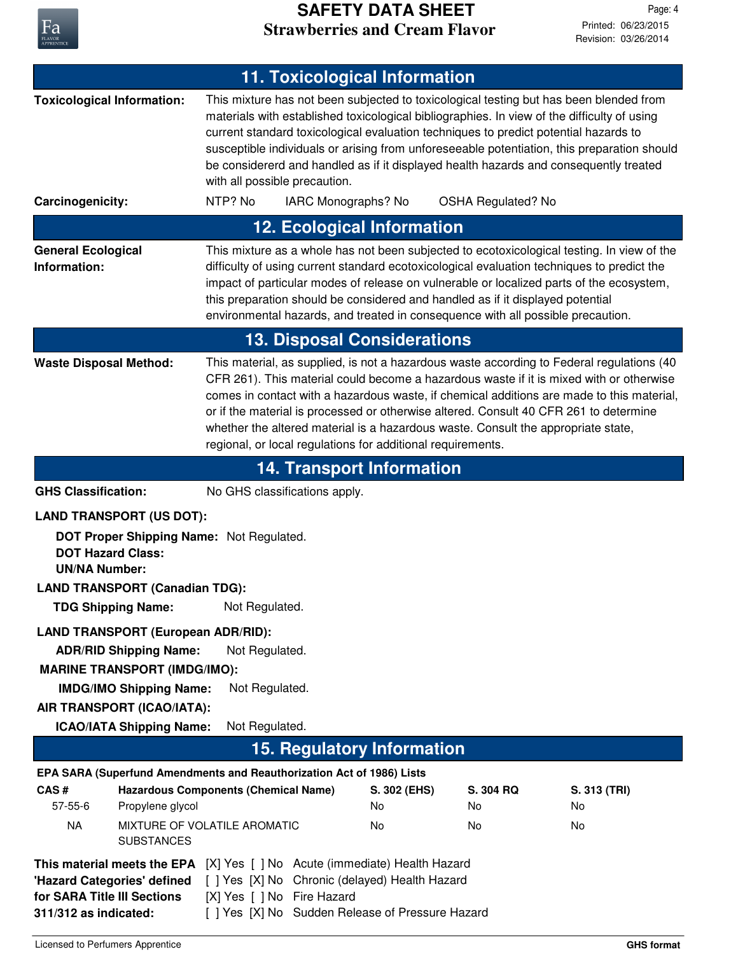

## **Strawberries and Cream Flavor SAFETY DATA SHEET**

| <b>11. Toxicological Information</b>                                                                                                                                                                                                                                                                                          |                                                                                                                                                                                                                                                                                                                                                                                                                                                                                                                                |                          |                           |                          |
|-------------------------------------------------------------------------------------------------------------------------------------------------------------------------------------------------------------------------------------------------------------------------------------------------------------------------------|--------------------------------------------------------------------------------------------------------------------------------------------------------------------------------------------------------------------------------------------------------------------------------------------------------------------------------------------------------------------------------------------------------------------------------------------------------------------------------------------------------------------------------|--------------------------|---------------------------|--------------------------|
| <b>Toxicological Information:</b>                                                                                                                                                                                                                                                                                             | This mixture has not been subjected to toxicological testing but has been blended from<br>materials with established toxicological bibliographies. In view of the difficulty of using<br>current standard toxicological evaluation techniques to predict potential hazards to<br>susceptible individuals or arising from unforeseeable potentiation, this preparation should<br>be considererd and handled as if it displayed health hazards and consequently treated<br>with all possible precaution.                         |                          |                           |                          |
| Carcinogenicity:                                                                                                                                                                                                                                                                                                              | NTP? No<br>IARC Monographs? No                                                                                                                                                                                                                                                                                                                                                                                                                                                                                                 |                          | <b>OSHA Regulated? No</b> |                          |
|                                                                                                                                                                                                                                                                                                                               | <b>12. Ecological Information</b>                                                                                                                                                                                                                                                                                                                                                                                                                                                                                              |                          |                           |                          |
| <b>General Ecological</b><br>Information:                                                                                                                                                                                                                                                                                     | This mixture as a whole has not been subjected to ecotoxicological testing. In view of the<br>difficulty of using current standard ecotoxicological evaluation techniques to predict the<br>impact of particular modes of release on vulnerable or localized parts of the ecosystem,<br>this preparation should be considered and handled as if it displayed potential<br>environmental hazards, and treated in consequence with all possible precaution.                                                                      |                          |                           |                          |
| <b>13. Disposal Considerations</b>                                                                                                                                                                                                                                                                                            |                                                                                                                                                                                                                                                                                                                                                                                                                                                                                                                                |                          |                           |                          |
| <b>Waste Disposal Method:</b>                                                                                                                                                                                                                                                                                                 | This material, as supplied, is not a hazardous waste according to Federal regulations (40<br>CFR 261). This material could become a hazardous waste if it is mixed with or otherwise<br>comes in contact with a hazardous waste, if chemical additions are made to this material,<br>or if the material is processed or otherwise altered. Consult 40 CFR 261 to determine<br>whether the altered material is a hazardous waste. Consult the appropriate state,<br>regional, or local regulations for additional requirements. |                          |                           |                          |
|                                                                                                                                                                                                                                                                                                                               | <b>14. Transport Information</b>                                                                                                                                                                                                                                                                                                                                                                                                                                                                                               |                          |                           |                          |
| <b>GHS Classification:</b>                                                                                                                                                                                                                                                                                                    | No GHS classifications apply.                                                                                                                                                                                                                                                                                                                                                                                                                                                                                                  |                          |                           |                          |
| <b>LAND TRANSPORT (US DOT):</b>                                                                                                                                                                                                                                                                                               |                                                                                                                                                                                                                                                                                                                                                                                                                                                                                                                                |                          |                           |                          |
| DOT Proper Shipping Name: Not Regulated.<br><b>DOT Hazard Class:</b><br><b>UN/NA Number:</b><br><b>LAND TRANSPORT (Canadian TDG):</b><br><b>TDG Shipping Name:</b> Not Regulated.                                                                                                                                             |                                                                                                                                                                                                                                                                                                                                                                                                                                                                                                                                |                          |                           |                          |
|                                                                                                                                                                                                                                                                                                                               |                                                                                                                                                                                                                                                                                                                                                                                                                                                                                                                                |                          |                           |                          |
| <b>LAND TRANSPORT (European ADR/RID):</b><br><b>ADR/RID Shipping Name:</b><br><b>MARINE TRANSPORT (IMDG/IMO):</b>                                                                                                                                                                                                             | Not Regulated.<br>Not Regulated.                                                                                                                                                                                                                                                                                                                                                                                                                                                                                               |                          |                           |                          |
| AIR TRANSPORT (ICAO/IATA):                                                                                                                                                                                                                                                                                                    | <b>IMDG/IMO Shipping Name:</b>                                                                                                                                                                                                                                                                                                                                                                                                                                                                                                 |                          |                           |                          |
| <b>ICAO/IATA Shipping Name:</b>                                                                                                                                                                                                                                                                                               | Not Regulated.                                                                                                                                                                                                                                                                                                                                                                                                                                                                                                                 |                          |                           |                          |
| <b>15. Regulatory Information</b>                                                                                                                                                                                                                                                                                             |                                                                                                                                                                                                                                                                                                                                                                                                                                                                                                                                |                          |                           |                          |
| EPA SARA (Superfund Amendments and Reauthorization Act of 1986) Lists                                                                                                                                                                                                                                                         |                                                                                                                                                                                                                                                                                                                                                                                                                                                                                                                                |                          |                           |                          |
| CAS#<br>$57 - 55 - 6$<br>Propylene glycol<br><b>NA</b>                                                                                                                                                                                                                                                                        | <b>Hazardous Components (Chemical Name)</b><br>MIXTURE OF VOLATILE AROMATIC                                                                                                                                                                                                                                                                                                                                                                                                                                                    | S. 302 (EHS)<br>No<br>No | S. 304 RQ<br>No.<br>No    | S. 313 (TRI)<br>No<br>No |
| <b>SUBSTANCES</b><br>[X] Yes [ ] No Acute (immediate) Health Hazard<br>This material meets the EPA<br>[ ] Yes [X] No Chronic (delayed) Health Hazard<br>'Hazard Categories' defined<br>[X] Yes [ ] No Fire Hazard<br>for SARA Title III Sections<br>[ ] Yes [X] No Sudden Release of Pressure Hazard<br>311/312 as indicated: |                                                                                                                                                                                                                                                                                                                                                                                                                                                                                                                                |                          |                           |                          |